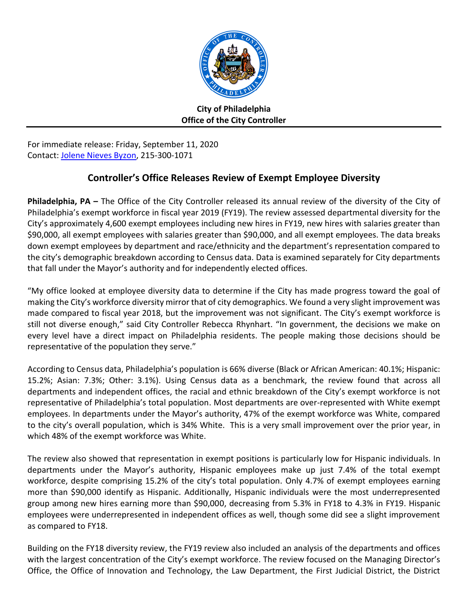

**City of Philadelphia Office of the City Controller**

For immediate release: Friday, September 11, 2020 Contact: [Jolene Nieves Byzon,](mailto:jolene.nieves.byzon@phila.gov) 215-300-1071

## **Controller's Office Releases Review of Exempt Employee Diversity**

**Philadelphia, PA –** The Office of the City Controller released its annual review of the diversity of the City of Philadelphia's exempt workforce in fiscal year 2019 (FY19). The review assessed departmental diversity for the City's approximately 4,600 exempt employees including new hires in FY19, new hires with salaries greater than \$90,000, all exempt employees with salaries greater than \$90,000, and all exempt employees. The data breaks down exempt employees by department and race/ethnicity and the department's representation compared to the city's demographic breakdown according to Census data. Data is examined separately for City departments that fall under the Mayor's authority and for independently elected offices.

"My office looked at employee diversity data to determine if the City has made progress toward the goal of making the City's workforce diversity mirror that of city demographics. We found a very slight improvement was made compared to fiscal year 2018, but the improvement was not significant. The City's exempt workforce is still not diverse enough," said City Controller Rebecca Rhynhart. "In government, the decisions we make on every level have a direct impact on Philadelphia residents. The people making those decisions should be representative of the population they serve."

According to Census data, Philadelphia's population is 66% diverse (Black or African American: 40.1%; Hispanic: 15.2%; Asian: 7.3%; Other: 3.1%). Using Census data as a benchmark, the review found that across all departments and independent offices, the racial and ethnic breakdown of the City's exempt workforce is not representative of Philadelphia's total population. Most departments are over-represented with White exempt employees. In departments under the Mayor's authority, 47% of the exempt workforce was White, compared to the city's overall population, which is 34% White. This is a very small improvement over the prior year, in which 48% of the exempt workforce was White.

The review also showed that representation in exempt positions is particularly low for Hispanic individuals. In departments under the Mayor's authority, Hispanic employees make up just 7.4% of the total exempt workforce, despite comprising 15.2% of the city's total population. Only 4.7% of exempt employees earning more than \$90,000 identify as Hispanic. Additionally, Hispanic individuals were the most underrepresented group among new hires earning more than \$90,000, decreasing from 5.3% in FY18 to 4.3% in FY19. Hispanic employees were underrepresented in independent offices as well, though some did see a slight improvement as compared to FY18.

Building on the FY18 diversity review, the FY19 review also included an analysis of the departments and offices with the largest concentration of the City's exempt workforce. The review focused on the Managing Director's Office, the Office of Innovation and Technology, the Law Department, the First Judicial District, the District